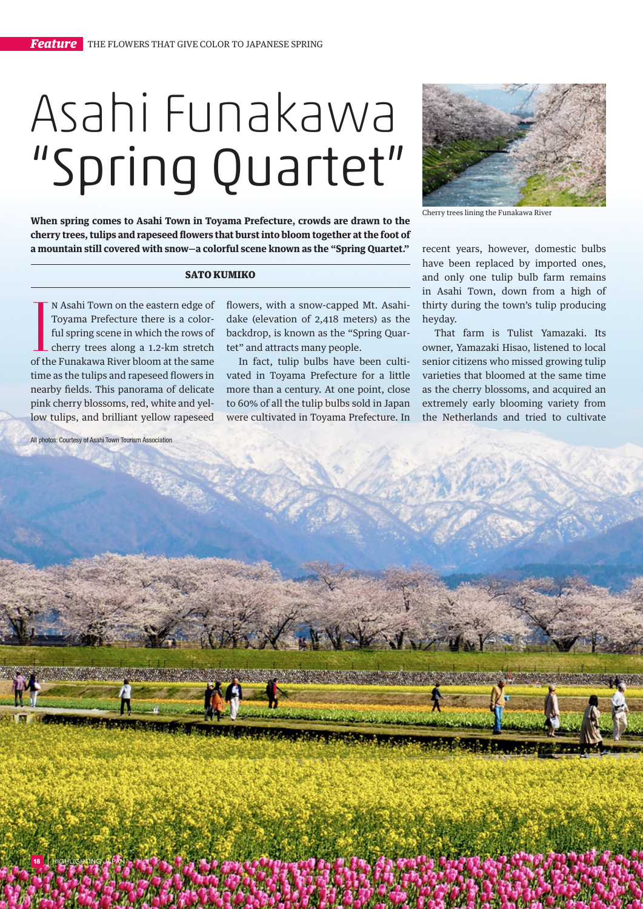## Asahi Funakawa "Spring Quartet"

**When spring comes to Asahi Town in Toyama Prefecture, crowds are drawn to the cherry trees, tulips and rapeseed flowers that burst into bloom together at the foot of a mountain still covered with snow—a colorful scene known as the "Spring Quartet."**

## SATO KUMIKO

IN Asahi Town on the eastern edge of<br>Toyama Prefecture there is a color-<br>ful spring scene in which the rows of<br>cherry trees along a 1.2-km stretch<br>of the Funakawa River bloom at the same n Asahi Town on the eastern edge of Toyama Prefecture there is a colorful spring scene in which the rows of cherry trees along a 1.2-km stretch time as the tulips and rapeseed flowers in nearby fields. This panorama of delicate pink cherry blossoms, red, white and yellow tulips, and brilliant yellow rapeseed

| **<sup>18</sup>** highlighting japan

flowers, with a snow-capped Mt. Asahidake (elevation of 2,418 meters) as the backdrop, is known as the "Spring Quartet" and attracts many people.

In fact, tulip bulbs have been cultivated in Toyama Prefecture for a little more than a century. At one point, close to 60% of all the tulip bulbs sold in Japan were cultivated in Toyama Prefecture. In



Cherry trees lining the Funakawa River

recent years, however, domestic bulbs have been replaced by imported ones, and only one tulip bulb farm remains in Asahi Town, down from a high of thirty during the town's tulip producing heyday.

That farm is Tulist Yamazaki. Its owner, Yamazaki Hisao, listened to local senior citizens who missed growing tulip varieties that bloomed at the same time as the cherry blossoms, and acquired an extremely early blooming variety from the Netherlands and tried to cultivate